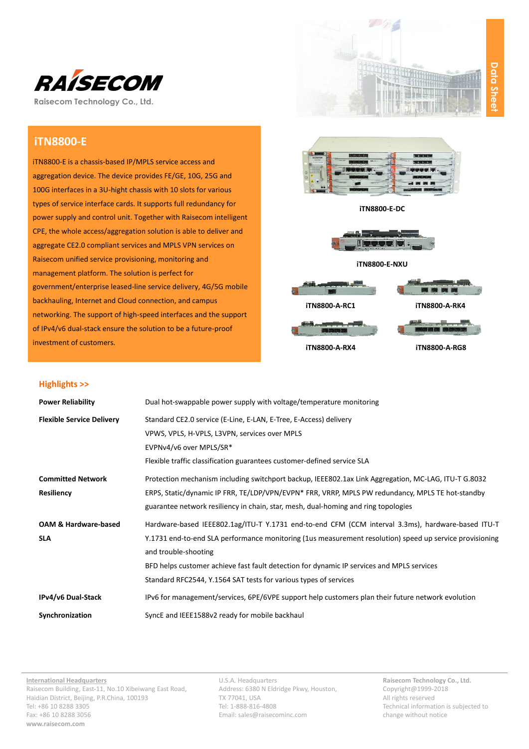

**Raisecom Technology Co., Ltd.**

# **iTN8800-E**

iTN8800-E is a chassis-based IP/MPLS service access and aggregation device. The device provides FE/GE, 10G, 25G and 100G interfaces in a 3U-hight chassis with 10 slots for various types of service interface cards. It supports full redundancy for power supply and control unit. Together with Raisecom intelligent CPE, the whole access/aggregation solution is able to deliver and aggregate CE2.0 compliant services and MPLS VPN services on Raisecom unified service provisioning, monitoring and management platform. The solution is perfect for government/enterprise leased-line service delivery, 4G/5G mobile backhauling, Internet and Cloud connection, and campus networking. The support of high-speed interfaces and the support of IPv4/v6 dual-stack ensure the solution to be a future-proof investment of customers.





**iTN8800-E-DC**



**iTN8800-E-NXU**



### **Highlights >>**

| <b>Power Reliability</b>         | Dual hot-swappable power supply with voltage/temperature monitoring                                     |
|----------------------------------|---------------------------------------------------------------------------------------------------------|
| <b>Flexible Service Delivery</b> | Standard CE2.0 service (E-Line, E-LAN, E-Tree, E-Access) delivery                                       |
|                                  | VPWS, VPLS, H-VPLS, L3VPN, services over MPLS                                                           |
|                                  | EVPNv4/v6 over MPLS/SR*                                                                                 |
|                                  | Flexible traffic classification guarantees customer-defined service SLA                                 |
| <b>Committed Network</b>         | Protection mechanism including switchport backup, IEEE802.1ax Link Aggregation, MC-LAG, ITU-T G.8032    |
| Resiliency                       | ERPS, Static/dynamic IP FRR, TE/LDP/VPN/EVPN* FRR, VRRP, MPLS PW redundancy, MPLS TE hot-standby        |
|                                  | guarantee network resiliency in chain, star, mesh, dual-homing and ring topologies                      |
| <b>OAM &amp; Hardware-based</b>  | Hardware-based IEEE802.1ag/ITU-T Y.1731 end-to-end CFM (CCM interval 3.3ms), hardware-based ITU-T       |
| <b>SLA</b>                       | Y.1731 end-to-end SLA performance monitoring (1us measurement resolution) speed up service provisioning |
|                                  | and trouble-shooting                                                                                    |
|                                  | BFD helps customer achieve fast fault detection for dynamic IP services and MPLS services               |
|                                  | Standard RFC2544, Y.1564 SAT tests for various types of services                                        |
| IPv4/v6 Dual-Stack               | IPv6 for management/services, 6PE/6VPE support help customers plan their future network evolution       |
| Synchronization                  | SyncE and IEEE1588v2 ready for mobile backhaul                                                          |

U.S.A. Headquarters Address: 6380 N Eldridge Pkwy, Houston, TX 77041, USA Tel: 1-888-816-4808 Email[: sales@raisecominc.com](mailto:sales@raisecominc.com)

**Raisecom Technology Co., Ltd.** Copyright@1999-2018 All rights reserved Technical information is subjected to change without notice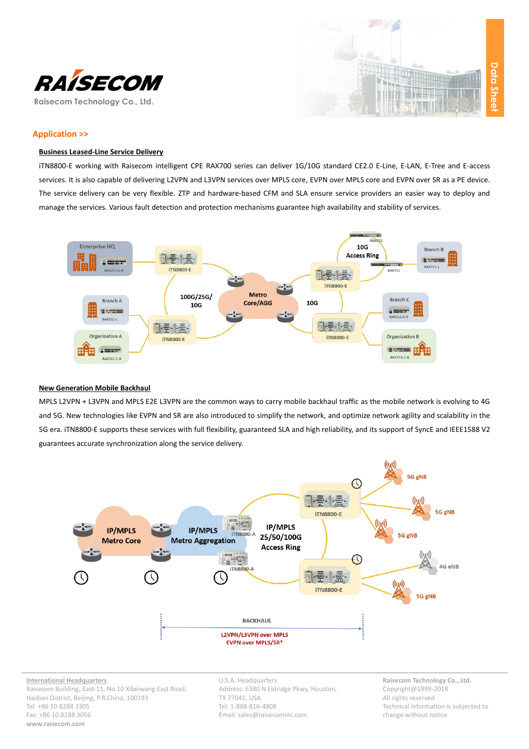



## **Application >>**

## **Business Leased-Line Service Delivery**

iTN8800-E working with Raisecom intelligent CPE RAX700 series can deliver 1G/10G standard CE2.0 E-Line, E-LAN, E-Tree and E-access services. It is also capable of delivering L2VPN and L3VPN services over MPLS core, EVPN over MPLS core and EVPN over SR as a PE device. The service delivery can be very flexible. ZTP and hardware-based CFM and SLA ensure service providers an easier way to deploy and manage the services. Various fault detection and protection mechanisms guarantee high availability and stability of services.



### **New Generation Mobile Backhaul**

MPLS L2VPN + L3VPN and MPLS E2E L3VPN are the common ways to carry mobile backhaul traffic as the mobile network is evolving to 4G and 5G. New technologies like EVPN and SR are also introduced to simplify the network, and optimize network agility and scalability in the 5G era. iTN8800-E supports these services with full flexibility, guaranteed SLA and high reliability, and its support of SyncE and IEEE1588 V2 guarantees accurate synchronization along the service delivery.



**International Headquarters** Raisecom Building, East-11, No.10 Xibeiwang East Road, Haidian District, Beijing, P.R.China, 100193 Tel: +86 10 8288 3305 Fax: +86 10 8288 3056 **www.raisecom.com**

U.S.A. Headquarters Address: 6380 N Eldridge Pkwy, Houston, TX 77041, USA Tel: 1-888-816-4808 Email[: sales@raisecominc.com](mailto:sales@raisecominc.com)

**Raisecom Technology Co., Ltd.** Copyright@1999-2018 All rights reserved Technical information is subjected to change without notice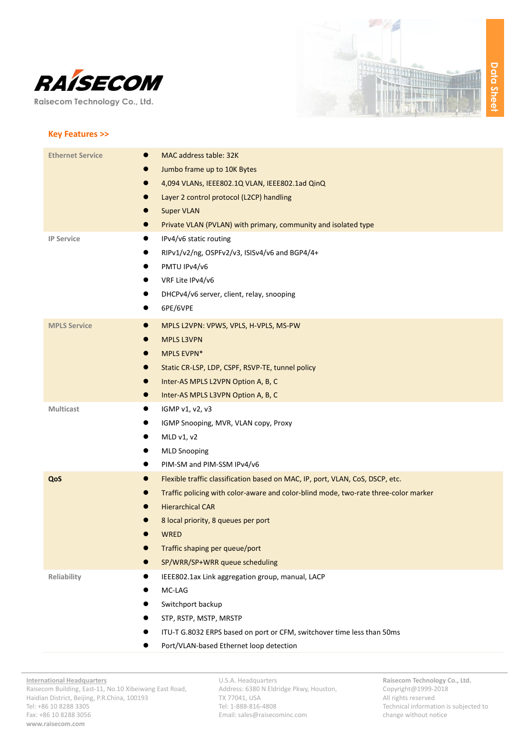

**Raisecom Technology Co., Ltd.**



#### **Key Features >>**

| <b>Ethernet Service</b><br>$\bullet$ | MAC address table: 32K                                                              |
|--------------------------------------|-------------------------------------------------------------------------------------|
|                                      | Jumbo frame up to 10K Bytes                                                         |
| 0                                    | 4,094 VLANs, IEEE802.1Q VLAN, IEEE802.1ad QinQ                                      |
|                                      | Layer 2 control protocol (L2CP) handling                                            |
|                                      | <b>Super VLAN</b>                                                                   |
|                                      | Private VLAN (PVLAN) with primary, community and isolated type                      |
| <b>IP Service</b>                    | IPv4/v6 static routing                                                              |
|                                      | RIPv1/v2/ng, OSPFv2/v3, ISISv4/v6 and BGP4/4+                                       |
|                                      | PMTU IPv4/v6                                                                        |
| $\bullet$                            | VRF Lite IPv4/v6                                                                    |
|                                      | DHCPv4/v6 server, client, relay, snooping                                           |
|                                      | 6PE/6VPE                                                                            |
| <b>MPLS Service</b><br>$\bullet$     | MPLS L2VPN: VPWS, VPLS, H-VPLS, MS-PW                                               |
|                                      | <b>MPLS L3VPN</b>                                                                   |
|                                      | MPLS EVPN*                                                                          |
| $\bullet$                            | Static CR-LSP, LDP, CSPF, RSVP-TE, tunnel policy                                    |
| $\bullet$                            | Inter-AS MPLS L2VPN Option A, B, C                                                  |
| $\bullet$                            | Inter-AS MPLS L3VPN Option A, B, C                                                  |
| Multicast<br>$\bullet$               | IGMP v1, v2, v3                                                                     |
|                                      | IGMP Snooping, MVR, VLAN copy, Proxy                                                |
|                                      | MLD v1, v2                                                                          |
|                                      | <b>MLD Snooping</b>                                                                 |
|                                      | PIM-SM and PIM-SSM IPv4/v6                                                          |
| QoS<br>$\bullet$                     | Flexible traffic classification based on MAC, IP, port, VLAN, CoS, DSCP, etc.       |
|                                      | Traffic policing with color-aware and color-blind mode, two-rate three-color marker |
|                                      | <b>Hierarchical CAR</b>                                                             |
|                                      | 8 local priority, 8 queues per port                                                 |
|                                      | <b>WRED</b>                                                                         |
|                                      | Traffic shaping per queue/port                                                      |
|                                      | SP/WRR/SP+WRR queue scheduling                                                      |
| Reliability                          | IEEE802.1ax Link aggregation group, manual, LACP                                    |
|                                      | MC-LAG                                                                              |
|                                      | Switchport backup                                                                   |
|                                      | STP, RSTP, MSTP, MRSTP                                                              |
|                                      | ITU-T G.8032 ERPS based on port or CFM, switchover time less than 50ms              |
|                                      | Port/VLAN-based Ethernet loop detection                                             |

U.S.A. Headquarters Address: 6380 N Eldridge Pkwy, Houston, TX 77041, USA Tel: 1-888-816-4808 Email[: sales@raisecominc.com](mailto:sales@raisecominc.com)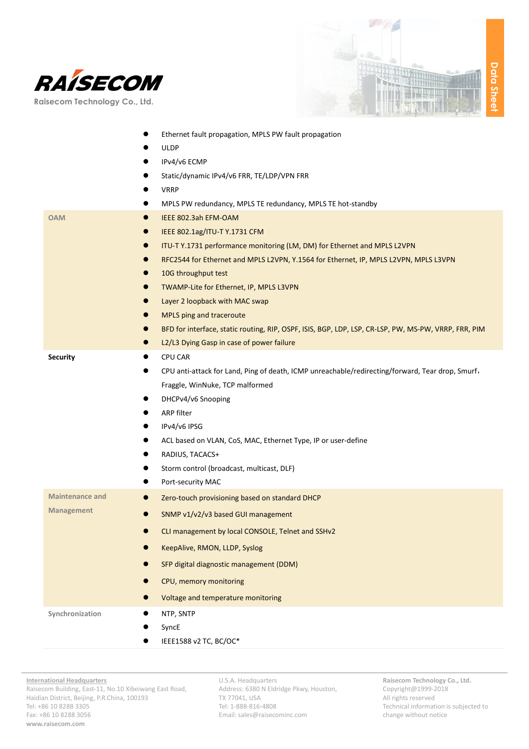



|                                     | Ethernet fault propagation, MPLS PW fault propagation                                                |
|-------------------------------------|------------------------------------------------------------------------------------------------------|
|                                     | <b>ULDP</b>                                                                                          |
|                                     | IPv4/v6 ECMP                                                                                         |
|                                     | Static/dynamic IPv4/v6 FRR, TE/LDP/VPN FRR                                                           |
|                                     | <b>VRRP</b>                                                                                          |
|                                     | MPLS PW redundancy, MPLS TE redundancy, MPLS TE hot-standby                                          |
| <b>OAM</b><br>$\bullet$             | IEEE 802.3ah EFM-OAM                                                                                 |
| $\bullet$                           | IEEE 802.1ag/ITU-T Y.1731 CFM                                                                        |
| $\bullet$                           | ITU-T Y.1731 performance monitoring (LM, DM) for Ethernet and MPLS L2VPN                             |
| $\bullet$                           | RFC2544 for Ethernet and MPLS L2VPN, Y.1564 for Ethernet, IP, MPLS L2VPN, MPLS L3VPN                 |
| 0                                   | 10G throughput test                                                                                  |
| $\bullet$                           | TWAMP-Lite for Ethernet, IP, MPLS L3VPN                                                              |
|                                     | Layer 2 loopback with MAC swap                                                                       |
| $\bullet$                           | MPLS ping and traceroute                                                                             |
| D                                   | BFD for interface, static routing, RIP, OSPF, ISIS, BGP, LDP, LSP, CR-LSP, PW, MS-PW, VRRP, FRR, PIM |
| $\bullet$                           | L2/L3 Dying Gasp in case of power failure                                                            |
| <b>Security</b><br>$\bullet$        | <b>CPU CAR</b>                                                                                       |
|                                     | CPU anti-attack for Land, Ping of death, ICMP unreachable/redirecting/forward, Tear drop, Smurf,     |
|                                     | Fraggle, WinNuke, TCP malformed                                                                      |
|                                     | DHCPv4/v6 Snooping                                                                                   |
|                                     | ARP filter                                                                                           |
|                                     | IPv4/v6 IPSG                                                                                         |
|                                     | ACL based on VLAN, CoS, MAC, Ethernet Type, IP or user-define                                        |
|                                     | RADIUS, TACACS+                                                                                      |
|                                     | Storm control (broadcast, multicast, DLF)                                                            |
|                                     | Port-security MAC                                                                                    |
| <b>Maintenance and</b><br>$\bullet$ | Zero-touch provisioning based on standard DHCP                                                       |
| <b>Management</b>                   | SNMP v1/v2/v3 based GUI management                                                                   |
|                                     | CLI management by local CONSOLE, Telnet and SSHv2                                                    |
|                                     | KeepAlive, RMON, LLDP, Syslog                                                                        |
|                                     | SFP digital diagnostic management (DDM)                                                              |
|                                     | CPU, memory monitoring                                                                               |
|                                     | Voltage and temperature monitoring                                                                   |
| Synchronization                     | NTP, SNTP                                                                                            |
|                                     | SyncE                                                                                                |
|                                     | IEEE1588 v2 TC, BC/OC*                                                                               |

U.S.A. Headquarters Address: 6380 N Eldridge Pkwy, Houston, TX 77041, USA Tel: 1-888-816-4808 Email[: sales@raisecominc.com](mailto:sales@raisecominc.com)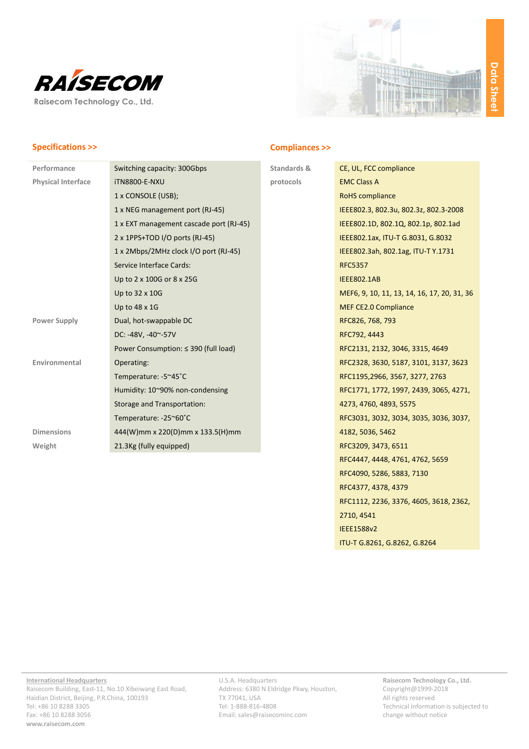



# **Specifications >>**

| Switching capacity: 300Gbps             |
|-----------------------------------------|
| <b>iTN8800-E-NXU</b>                    |
| 1 x CONSOLE (USB);                      |
| 1 x NEG management port (RJ-45)         |
| 1 x EXT management cascade port (RJ-45) |
| 2 x 1PPS+TOD I/O ports (RJ-45)          |
| 1 x 2Mbps/2MHz clock I/O port (RJ-45)   |
| Service Interface Cards:                |
| Up to 2 x 100G or 8 x 25G               |
| Up to 32 x 10G                          |
| Up to 48 x 1G                           |
| Dual, hot-swappable DC                  |
| DC: -48V, -40~-57V                      |
| Power Consumption: ≤ 390 (full load)    |
| Operating:                              |
| Temperature: -5~45°C                    |
| Humidity: 10~90% non-condensing         |
| Storage and Transportation:             |
| Temperature: -25~60°C                   |
| 444(W)mm x 220(D)mm x 133.5(H)mm        |
| 21.3Kg (fully equipped)                 |
|                                         |

## **Compliances >>**

**Standards & protocols**

| CE, UL, FCC compliance                      |
|---------------------------------------------|
| <b>EMC Class A</b>                          |
| <b>RoHS</b> compliance                      |
| IEEE802.3, 802.3u, 802.3z, 802.3-2008       |
| IEEE802.1D, 802.1Q, 802.1p, 802.1ad         |
| IEEE802.1ax, ITU-T G.8031, G.8032           |
| IEEE802.3ah, 802.1ag, ITU-T Y.1731          |
| <b>RFC5357</b>                              |
| <b>IEEE802.1AB</b>                          |
| MEF6, 9, 10, 11, 13, 14, 16, 17, 20, 31, 36 |
| <b>MEF CE2.0 Compliance</b>                 |
| RFC826, 768, 793                            |
| RFC792, 4443                                |
| RFC2131, 2132, 3046, 3315, 4649             |
| RFC2328, 3630, 5187, 3101, 3137, 3623       |
| RFC1195,2966, 3567, 3277, 2763              |
| RFC1771, 1772, 1997, 2439, 3065, 4271,      |
| 4273, 4760, 4893, 5575                      |
| RFC3031, 3032, 3034, 3035, 3036, 3037,      |
| 4182, 5036, 5462                            |
| RFC3209, 3473, 6511                         |
| RFC4447, 4448, 4761, 4762, 5659             |
| RFC4090, 5286, 5883, 7130                   |
| RFC4377, 4378, 4379                         |
| RFC1112, 2236, 3376, 4605, 3618, 2362,      |
| 2710, 4541                                  |
| <b>IEEE1588v2</b>                           |
| ITU-T G.8261, G.8262, G.8264                |

U.S.A. Headquarters Address: 6380 N Eldridge Pkwy, Houston, TX 77041, USA Tel: 1-888-816-4808 Email[: sales@raisecominc.com](mailto:sales@raisecominc.com)

**Raisecom Technology Co., Ltd.** Copyright@1999-2018 All rights reserved Technical information is subjected to change without notice